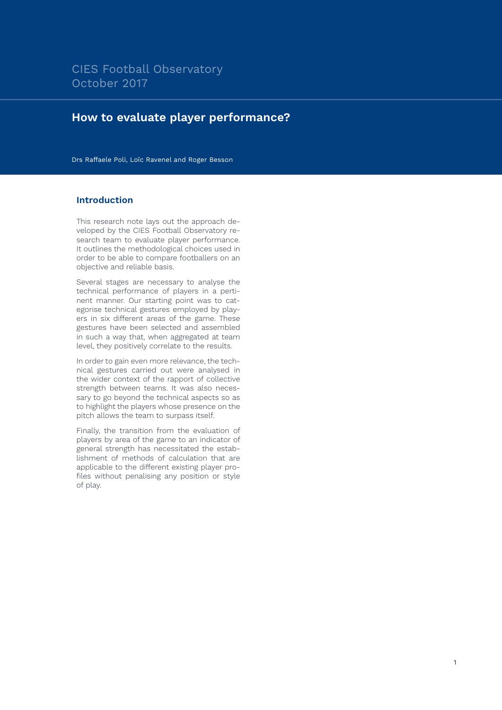# **How to evaluate player performance?**

Drs Raffaele Poli, Loïc Ravenel and Roger Besson

#### **Introduction**

This research note lays out the approach developed by the CIES Football Observatory research team to evaluate player performance. It outlines the methodological choices used in order to be able to compare footballers on an objective and reliable basis.

Several stages are necessary to analyse the technical performance of players in a pertinent manner. Our starting point was to categorise technical gestures employed by players in six different areas of the game. These gestures have been selected and assembled in such a way that, when aggregated at team level, they positively correlate to the results.

In order to gain even more relevance, the technical gestures carried out were analysed in the wider context of the rapport of collective strength between teams. It was also necessary to go beyond the technical aspects so as to highlight the players whose presence on the pitch allows the team to surpass itself.

Finally, the transition from the evaluation of players by area of the game to an indicator of general strength has necessitated the establishment of methods of calculation that are applicable to the different existing player profiles without penalising any position or style of play.

1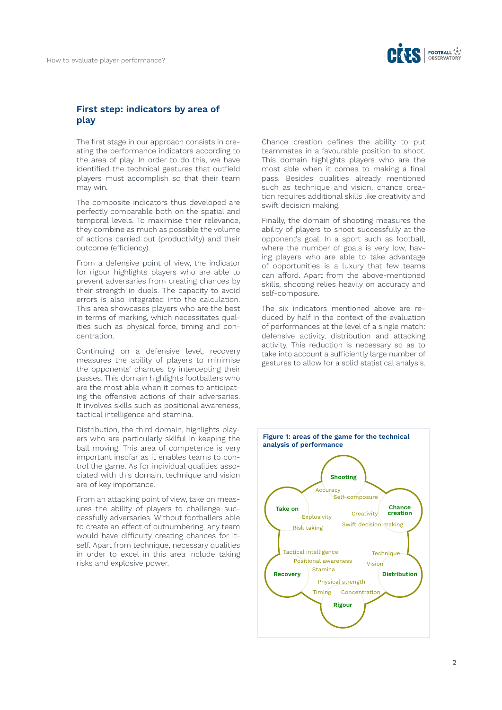

### **First step: indicators by area of play**

The first stage in our approach consists in creating the performance indicators according to the area of play. In order to do this, we have identified the technical gestures that outfield players must accomplish so that their team may win.

The composite indicators thus developed are perfectly comparable both on the spatial and temporal levels. To maximise their relevance, they combine as much as possible the volume of actions carried out (productivity) and their outcome (efficiency).

From a defensive point of view, the indicator for rigour highlights players who are able to prevent adversaries from creating chances by their strength in duels. The capacity to avoid errors is also integrated into the calculation. This area showcases players who are the best in terms of marking, which necessitates qualities such as physical force, timing and concentration.

Continuing on a defensive level, recovery measures the ability of players to minimise the opponents' chances by intercepting their passes. This domain highlights footballers who are the most able when it comes to anticipating the offensive actions of their adversaries. It involves skills such as positional awareness, tactical intelligence and stamina.

Distribution, the third domain, highlights players who are particularly skilful in keeping the ball moving. This area of competence is very important insofar as it enables teams to control the game. As for individual qualities associated with this domain, technique and vision are of key importance.

From an attacking point of view, take on measures the ability of players to challenge successfully adversaries. Without footballers able to create an effect of outnumbering, any team would have difficulty creating chances for itself. Apart from technique, necessary qualities in order to excel in this area include taking risks and explosive power.

Chance creation defines the ability to put teammates in a favourable position to shoot. This domain highlights players who are the most able when it comes to making a final pass. Besides qualities already mentioned such as technique and vision, chance creation requires additional skills like creativity and swift decision making.

Finally, the domain of shooting measures the ability of players to shoot successfully at the opponent's goal. In a sport such as football, where the number of goals is very low, having players who are able to take advantage of opportunities is a luxury that few teams can afford. Apart from the above-mentioned skills, shooting relies heavily on accuracy and self-composure.

The six indicators mentioned above are reduced by half in the context of the evaluation of performances at the level of a single match: defensive activity, distribution and attacking activity. This reduction is necessary so as to take into account a sufficiently large number of gestures to allow for a solid statistical analysis.

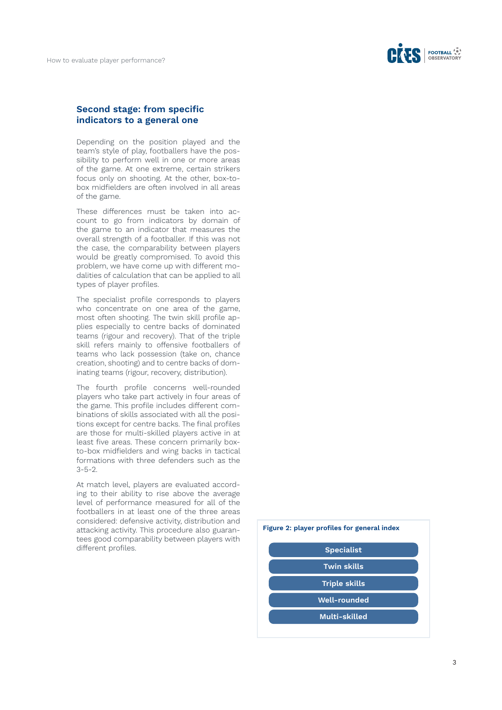

#### **Second stage: from specific indicators to a general one**

Depending on the position played and the team's style of play, footballers have the possibility to perform well in one or more areas of the game. At one extreme, certain strikers focus only on shooting. At the other, box-tobox midfielders are often involved in all areas of the game.

These differences must be taken into account to go from indicators by domain of the game to an indicator that measures the overall strength of a footballer. If this was not the case, the comparability between players would be greatly compromised. To avoid this problem, we have come up with different modalities of calculation that can be applied to all types of player profiles.

The specialist profile corresponds to players who concentrate on one area of the game, most often shooting. The twin skill profile applies especially to centre backs of dominated teams (rigour and recovery). That of the triple skill refers mainly to offensive footballers of teams who lack possession (take on, chance creation, shooting) and to centre backs of dominating teams (rigour, recovery, distribution).

The fourth profile concerns well-rounded players who take part actively in four areas of the game. This profile includes different combinations of skills associated with all the positions except for centre backs. The final profiles are those for multi-skilled players active in at least five areas. These concern primarily boxto-box midfielders and wing backs in tactical formations with three defenders such as the 3-5-2.

At match level, players are evaluated according to their ability to rise above the average level of performance measured for all of the footballers in at least one of the three areas considered: defensive activity, distribution and attacking activity. This procedure also guarantees good comparability between players with different profiles.